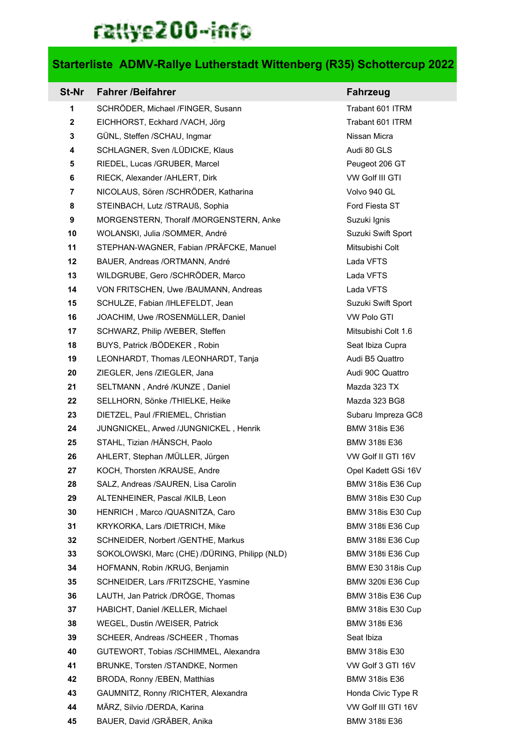## rattye200-info

## **Starterliste ADMV-Rallye Lutherstadt Wittenberg (R35) Schottercup 2022**

| St-Nr        | <b>Fahrer /Beifahrer</b>                      | <b>Fahrzeug</b>      |
|--------------|-----------------------------------------------|----------------------|
| 1            | SCHRÖDER, Michael /FINGER, Susann             | Trabant 601 ITRM     |
| $\mathbf{2}$ | EICHHORST, Eckhard /VACH, Jörg                | Trabant 601 ITRM     |
| 3            | GÜNL, Steffen /SCHAU, Ingmar                  | Nissan Micra         |
| 4            | SCHLAGNER, Sven /LÜDICKE, Klaus               | Audi 80 GLS          |
| 5            | RIEDEL, Lucas /GRUBER, Marcel                 | Peugeot 206 GT       |
| 6            | RIECK, Alexander / AHLERT, Dirk               | VW Golf III GTI      |
| 7            | NICOLAUS, Sören /SCHRÖDER, Katharina          | Volvo 940 GL         |
| 8            | STEINBACH, Lutz /STRAUß, Sophia               | Ford Fiesta ST       |
| 9            | MORGENSTERN, Thoralf /MORGENSTERN, Anke       | Suzuki Ignis         |
| 10           | WOLANSKI, Julia /SOMMER, André                | Suzuki Swift Sport   |
| 11           | STEPHAN-WAGNER, Fabian /PRÄFCKE, Manuel       | Mitsubishi Colt      |
| 12           | BAUER, Andreas /ORTMANN, André                | Lada VFTS            |
| 13           | WILDGRUBE, Gero /SCHRÖDER, Marco              | Lada VFTS            |
| 14           | VON FRITSCHEN, Uwe /BAUMANN, Andreas          | Lada VFTS            |
| 15           | SCHULZE, Fabian /IHLEFELDT, Jean              | Suzuki Swift Sport   |
| 16           | JOACHIM, Uwe /ROSENMüLLER, Daniel             | <b>VW Polo GTI</b>   |
| 17           | SCHWARZ, Philip /WEBER, Steffen               | Mitsubishi Colt 1.6  |
| 18           | BUYS, Patrick /BÖDEKER, Robin                 | Seat Ibiza Cupra     |
| 19           | LEONHARDT, Thomas /LEONHARDT, Tanja           | Audi B5 Quattro      |
| 20           | ZIEGLER, Jens /ZIEGLER, Jana                  | Audi 90C Quattro     |
| 21           | SELTMANN, André /KUNZE, Daniel                | Mazda 323 TX         |
| 22           | SELLHORN, Sönke /THIELKE, Heike               | Mazda 323 BG8        |
| 23           | DIETZEL, Paul /FRIEMEL, Christian             | Subaru Impreza GC8   |
| 24           | JUNGNICKEL, Arwed /JUNGNICKEL, Henrik         | <b>BMW 318is E36</b> |
| 25           | STAHL, Tizian /HÄNSCH, Paolo                  | <b>BMW 318ti E36</b> |
| 26           | AHLERT, Stephan /MÜLLER, Jürgen               | VW Golf II GTI 16V   |
| 27           | KOCH, Thorsten /KRAUSE, Andre                 | Opel Kadett GSi 16V  |
| 28           | SALZ, Andreas /SAUREN, Lisa Carolin           | BMW 318is E36 Cup    |
| 29           | ALTENHEINER, Pascal /KILB, Leon               | BMW 318is E30 Cup    |
| 30           | HENRICH, Marco /QUASNITZA, Caro               | BMW 318is E30 Cup    |
| 31           | KRYKORKA, Lars /DIETRICH, Mike                | BMW 318ti E36 Cup    |
| 32           | SCHNEIDER, Norbert / GENTHE, Markus           | BMW 318ti E36 Cup    |
| 33           | SOKOLOWSKI, Marc (CHE) /DÜRING, Philipp (NLD) | BMW 318ti E36 Cup    |
| 34           | HOFMANN, Robin /KRUG, Benjamin                | BMW E30 318is Cup    |
| 35           | SCHNEIDER, Lars /FRITZSCHE, Yasmine           | BMW 320ti E36 Cup    |
| 36           | LAUTH, Jan Patrick /DRÖGE, Thomas             | BMW 318is E36 Cup    |
| 37           | HABICHT, Daniel /KELLER, Michael              | BMW 318is E30 Cup    |
| 38           | WEGEL, Dustin /WEISER, Patrick                | <b>BMW 318ti E36</b> |
| 39           | SCHEER, Andreas /SCHEER, Thomas               | Seat Ibiza           |
| 40           | GUTEWORT, Tobias /SCHIMMEL, Alexandra         | <b>BMW 318is E30</b> |
| 41           | BRUNKE, Torsten /STANDKE, Normen              | VW Golf 3 GTI 16V    |
| 42           | BRODA, Ronny /EBEN, Matthias                  | <b>BMW 318is E36</b> |
| 43           | GAUMNITZ, Ronny /RICHTER, Alexandra           | Honda Civic Type R   |
| 44           | MÄRZ, Silvio /DERDA, Karina                   | VW Golf III GTI 16V  |
| 45           | BAUER, David /GRÄBER, Anika                   | <b>BMW 318ti E36</b> |